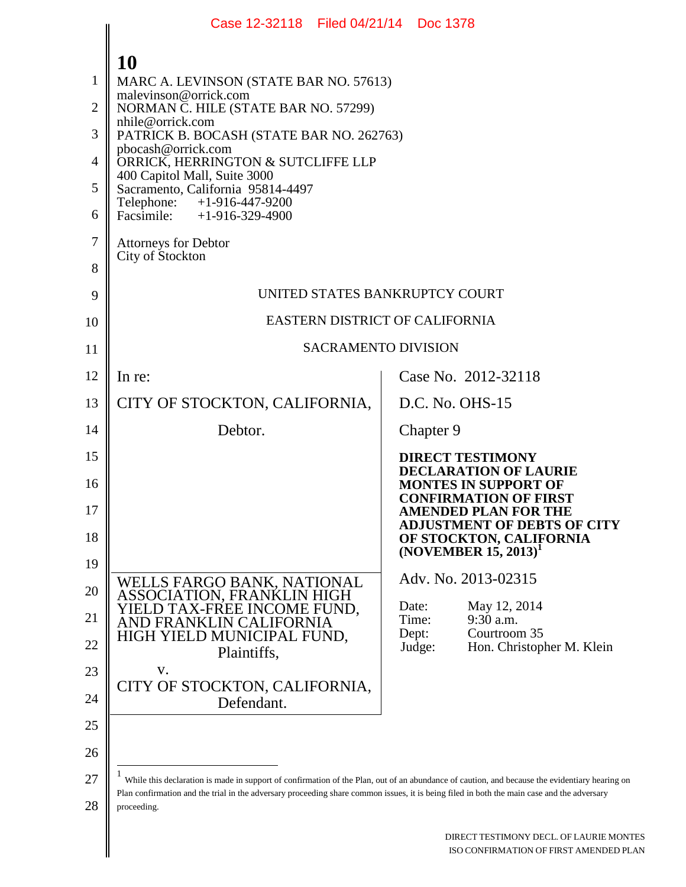|                | Case 12-32118 Filed 04/21/14 Doc 1378                                                                                                                                                                                                                                                                      |                                                                                                      |  |  |  |  |  |  |
|----------------|------------------------------------------------------------------------------------------------------------------------------------------------------------------------------------------------------------------------------------------------------------------------------------------------------------|------------------------------------------------------------------------------------------------------|--|--|--|--|--|--|
| 1              | 10                                                                                                                                                                                                                                                                                                         |                                                                                                      |  |  |  |  |  |  |
| $\overline{2}$ | MARC A. LEVINSON (STATE BAR NO. 57613)<br>malevinson@orrick.com                                                                                                                                                                                                                                            |                                                                                                      |  |  |  |  |  |  |
| 3              | NORMAN C. HILE (STATE BAR NO. 57299)<br>nhile@orrick.com                                                                                                                                                                                                                                                   |                                                                                                      |  |  |  |  |  |  |
| 4              | PATRICK B. BOCASH (STATE BAR NO. 262763)<br>pbocash@orrick.com                                                                                                                                                                                                                                             |                                                                                                      |  |  |  |  |  |  |
| 5              | ORRICK, HERRINGTON & SUTCLIFFE LLP<br>400 Capitol Mall, Suite 3000<br>Sacramento, California 95814-4497                                                                                                                                                                                                    |                                                                                                      |  |  |  |  |  |  |
| 6              | Telephone: +1-916-447-9200<br>Facsimile: $+1-916-329-4900$                                                                                                                                                                                                                                                 |                                                                                                      |  |  |  |  |  |  |
| 7              | <b>Attorneys for Debtor</b><br>City of Stockton                                                                                                                                                                                                                                                            |                                                                                                      |  |  |  |  |  |  |
| 8              |                                                                                                                                                                                                                                                                                                            |                                                                                                      |  |  |  |  |  |  |
| 9              | UNITED STATES BANKRUPTCY COURT                                                                                                                                                                                                                                                                             |                                                                                                      |  |  |  |  |  |  |
| 10             | EASTERN DISTRICT OF CALIFORNIA                                                                                                                                                                                                                                                                             |                                                                                                      |  |  |  |  |  |  |
| 11             | <b>SACRAMENTO DIVISION</b>                                                                                                                                                                                                                                                                                 |                                                                                                      |  |  |  |  |  |  |
| 12             | In re:                                                                                                                                                                                                                                                                                                     | Case No. 2012-32118                                                                                  |  |  |  |  |  |  |
| 13             | CITY OF STOCKTON, CALIFORNIA,                                                                                                                                                                                                                                                                              | D.C. No. OHS-15                                                                                      |  |  |  |  |  |  |
| 14             | Debtor.                                                                                                                                                                                                                                                                                                    | Chapter 9                                                                                            |  |  |  |  |  |  |
| 15             |                                                                                                                                                                                                                                                                                                            | <b>DIRECT TESTIMONY</b><br><b>DECLARATION OF LAURIE</b>                                              |  |  |  |  |  |  |
| 16<br>17       |                                                                                                                                                                                                                                                                                                            | <b>MONTES IN SUPPORT OF</b><br><b>CONFIRMATION OF FIRST</b><br>AMENDED PLAN FOR THE                  |  |  |  |  |  |  |
| 18             |                                                                                                                                                                                                                                                                                                            | <b>ADJUSTMENT OF DEBTS OF CITY</b><br>OF STOCKTON, CALIFORNIA<br>(NOVEMBER $15, 2013$ ) <sup>1</sup> |  |  |  |  |  |  |
| 19             |                                                                                                                                                                                                                                                                                                            | Adv. No. 2013-02315                                                                                  |  |  |  |  |  |  |
| 20             | WELLS FARGO BANK, NATIONAL<br>ASSOCIATION, FRANKLIN HIGH<br>YIELD TAX-FREE INCOME FUND,                                                                                                                                                                                                                    | Date:<br>May 12, 2014                                                                                |  |  |  |  |  |  |
| 21             | AND FRANKLIN CALIFORNIA<br>HIGH YIELD MUNICIPAL FUND,                                                                                                                                                                                                                                                      | 9:30 a.m.<br>Time:<br>Dept:<br>Courtroom 35                                                          |  |  |  |  |  |  |
| 22             | Plaintiffs,                                                                                                                                                                                                                                                                                                | Judge:<br>Hon. Christopher M. Klein                                                                  |  |  |  |  |  |  |
| 23             | V.<br>CITY OF STOCKTON, CALIFORNIA,                                                                                                                                                                                                                                                                        |                                                                                                      |  |  |  |  |  |  |
| 24             | Defendant.                                                                                                                                                                                                                                                                                                 |                                                                                                      |  |  |  |  |  |  |
| 25             |                                                                                                                                                                                                                                                                                                            |                                                                                                      |  |  |  |  |  |  |
| 26             |                                                                                                                                                                                                                                                                                                            |                                                                                                      |  |  |  |  |  |  |
| 27<br>28       | While this declaration is made in support of confirmation of the Plan, out of an abundance of caution, and because the evidentiary hearing on<br>Plan confirmation and the trial in the adversary proceeding share common issues, it is being filed in both the main case and the adversary<br>proceeding. |                                                                                                      |  |  |  |  |  |  |
|                |                                                                                                                                                                                                                                                                                                            |                                                                                                      |  |  |  |  |  |  |
|                |                                                                                                                                                                                                                                                                                                            | DIRECT TESTIMONY DECL. OF LAURIE MONTES<br>ISO CONFIRMATION OF FIRST AMENDED PLAN                    |  |  |  |  |  |  |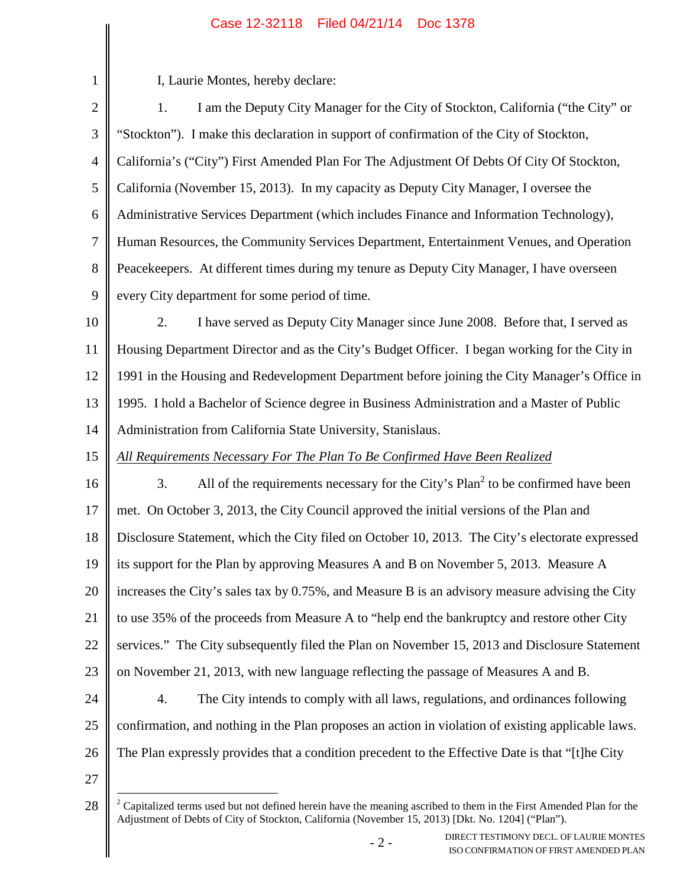| $\mathbf{1}$   | I, Laurie Montes, hereby declare:                                                                                                                                                                                          |  |  |  |  |
|----------------|----------------------------------------------------------------------------------------------------------------------------------------------------------------------------------------------------------------------------|--|--|--|--|
| $\mathbf{2}$   | I am the Deputy City Manager for the City of Stockton, California ("the City" or<br>1.                                                                                                                                     |  |  |  |  |
| 3              | "Stockton"). I make this declaration in support of confirmation of the City of Stockton,                                                                                                                                   |  |  |  |  |
| $\overline{4}$ | California's ("City") First Amended Plan For The Adjustment Of Debts Of City Of Stockton,                                                                                                                                  |  |  |  |  |
| 5              | California (November 15, 2013). In my capacity as Deputy City Manager, I oversee the                                                                                                                                       |  |  |  |  |
| 6              | Administrative Services Department (which includes Finance and Information Technology),                                                                                                                                    |  |  |  |  |
| 7              | Human Resources, the Community Services Department, Entertainment Venues, and Operation                                                                                                                                    |  |  |  |  |
| 8              | Peacekeepers. At different times during my tenure as Deputy City Manager, I have overseen                                                                                                                                  |  |  |  |  |
| 9              | every City department for some period of time.                                                                                                                                                                             |  |  |  |  |
| 10             | I have served as Deputy City Manager since June 2008. Before that, I served as<br>2.                                                                                                                                       |  |  |  |  |
| 11             | Housing Department Director and as the City's Budget Officer. I began working for the City in                                                                                                                              |  |  |  |  |
| 12             | 1991 in the Housing and Redevelopment Department before joining the City Manager's Office in                                                                                                                               |  |  |  |  |
| 13             | 1995. I hold a Bachelor of Science degree in Business Administration and a Master of Public                                                                                                                                |  |  |  |  |
| 14             | Administration from California State University, Stanislaus.                                                                                                                                                               |  |  |  |  |
| 15             | All Requirements Necessary For The Plan To Be Confirmed Have Been Realized                                                                                                                                                 |  |  |  |  |
| 16             | All of the requirements necessary for the City's Plan <sup>2</sup> to be confirmed have been<br>3.                                                                                                                         |  |  |  |  |
| 17             | met. On October 3, 2013, the City Council approved the initial versions of the Plan and                                                                                                                                    |  |  |  |  |
| 18             | Disclosure Statement, which the City filed on October 10, 2013. The City's electorate expressed                                                                                                                            |  |  |  |  |
| 19             | its support for the Plan by approving Measures A and B on November 5, 2013. Measure A                                                                                                                                      |  |  |  |  |
| 20             | increases the City's sales tax by 0.75%, and Measure B is an advisory measure advising the City                                                                                                                            |  |  |  |  |
| 21             | to use 35% of the proceeds from Measure A to "help end the bankruptcy and restore other City                                                                                                                               |  |  |  |  |
| 22             | services." The City subsequently filed the Plan on November 15, 2013 and Disclosure Statement                                                                                                                              |  |  |  |  |
| 23             | on November 21, 2013, with new language reflecting the passage of Measures A and B.                                                                                                                                        |  |  |  |  |
| 24             | 4.<br>The City intends to comply with all laws, regulations, and ordinances following                                                                                                                                      |  |  |  |  |
| 25             | confirmation, and nothing in the Plan proposes an action in violation of existing applicable laws.                                                                                                                         |  |  |  |  |
| 26             | The Plan expressly provides that a condition precedent to the Effective Date is that "[t]he City                                                                                                                           |  |  |  |  |
| 27             |                                                                                                                                                                                                                            |  |  |  |  |
| 28             | $2$ Capitalized terms used but not defined herein have the meaning ascribed to them in the First Amended Plan for the<br>Adjustment of Debts of City of Stockton, California (November 15, 2013) [Dkt. No. 1204] ("Plan"). |  |  |  |  |
|                | DIRECT TESTIMONY DECL. OF LAURIE MONTES<br>$-2-$<br>ISO CONFIRMATION OF FIRST AMENDED PLAN                                                                                                                                 |  |  |  |  |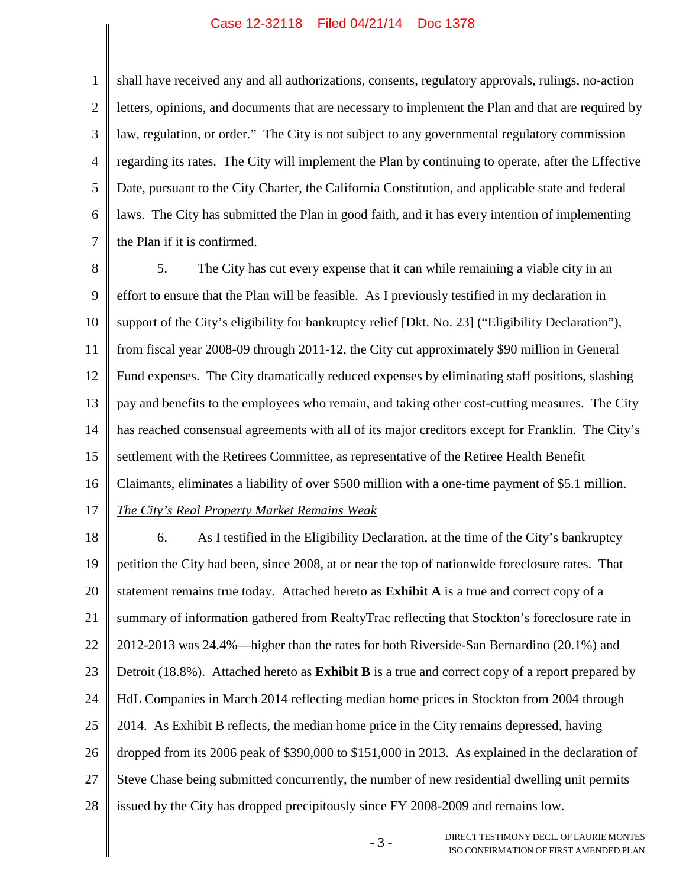1 2 3 4 5 6 7 shall have received any and all authorizations, consents, regulatory approvals, rulings, no-action letters, opinions, and documents that are necessary to implement the Plan and that are required by law, regulation, or order." The City is not subject to any governmental regulatory commission regarding its rates. The City will implement the Plan by continuing to operate, after the Effective Date, pursuant to the City Charter, the California Constitution, and applicable state and federal laws. The City has submitted the Plan in good faith, and it has every intention of implementing the Plan if it is confirmed.

8 9 10 11 12 13 14 15 16 17 5. The City has cut every expense that it can while remaining a viable city in an effort to ensure that the Plan will be feasible. As I previously testified in my declaration in support of the City's eligibility for bankruptcy relief [Dkt. No. 23] ("Eligibility Declaration"), from fiscal year 2008-09 through 2011-12, the City cut approximately \$90 million in General Fund expenses. The City dramatically reduced expenses by eliminating staff positions, slashing pay and benefits to the employees who remain, and taking other cost-cutting measures. The City has reached consensual agreements with all of its major creditors except for Franklin. The City's settlement with the Retirees Committee, as representative of the Retiree Health Benefit Claimants, eliminates a liability of over \$500 million with a one-time payment of \$5.1 million.

*The City's Real Property Market Remains Weak*

18 19 20 21 22 23 24 25 26 27 28 6. As I testified in the Eligibility Declaration, at the time of the City's bankruptcy petition the City had been, since 2008, at or near the top of nationwide foreclosure rates. That statement remains true today. Attached hereto as **Exhibit A** is a true and correct copy of a summary of information gathered from RealtyTrac reflecting that Stockton's foreclosure rate in 2012-2013 was 24.4%—higher than the rates for both Riverside-San Bernardino (20.1%) and Detroit (18.8%). Attached hereto as **Exhibit B** is a true and correct copy of a report prepared by HdL Companies in March 2014 reflecting median home prices in Stockton from 2004 through 2014. As Exhibit B reflects, the median home price in the City remains depressed, having dropped from its 2006 peak of \$390,000 to \$151,000 in 2013. As explained in the declaration of Steve Chase being submitted concurrently, the number of new residential dwelling unit permits issued by the City has dropped precipitously since FY 2008-2009 and remains low.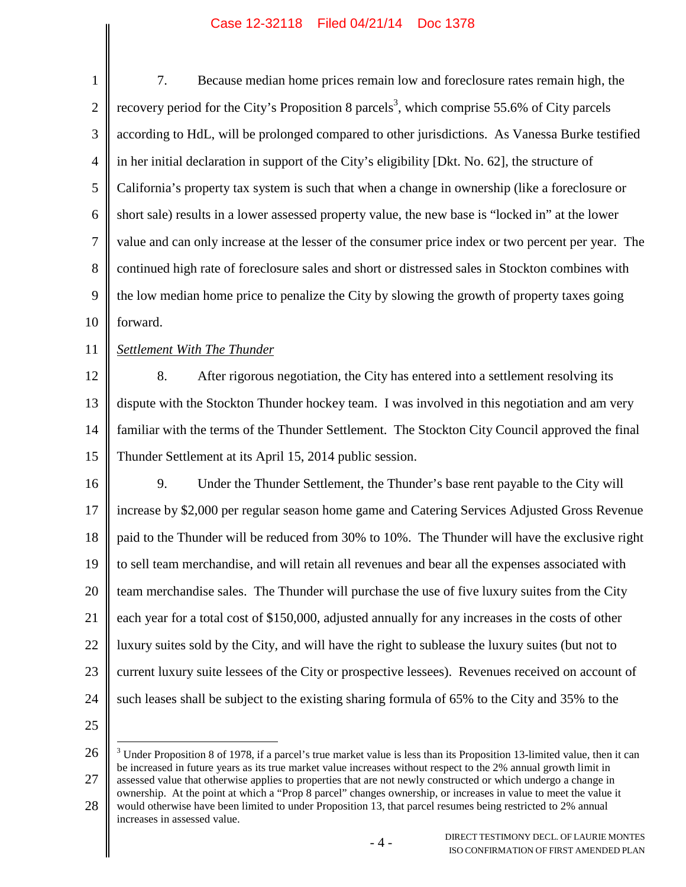| $\mathbf{1}$   | Because median home prices remain low and foreclosure rates remain high, the<br>7.                                                   |  |  |  |  |
|----------------|--------------------------------------------------------------------------------------------------------------------------------------|--|--|--|--|
| $\overline{2}$ | recovery period for the City's Proposition 8 parcels <sup>3</sup> , which comprise 55.6% of City parcels                             |  |  |  |  |
| 3              | according to HdL, will be prolonged compared to other jurisdictions. As Vanessa Burke testified                                      |  |  |  |  |
| $\overline{4}$ | in her initial declaration in support of the City's eligibility [Dkt. No. 62], the structure of                                      |  |  |  |  |
| 5              | California's property tax system is such that when a change in ownership (like a foreclosure or                                      |  |  |  |  |
| 6              | short sale) results in a lower assessed property value, the new base is "locked in" at the lower                                     |  |  |  |  |
| $\tau$         | value and can only increase at the lesser of the consumer price index or two percent per year. The                                   |  |  |  |  |
| 8              | continued high rate of foreclosure sales and short or distressed sales in Stockton combines with                                     |  |  |  |  |
| 9              | the low median home price to penalize the City by slowing the growth of property taxes going                                         |  |  |  |  |
| 10             | forward.                                                                                                                             |  |  |  |  |
| 11             | Settlement With The Thunder                                                                                                          |  |  |  |  |
| 12             | 8.<br>After rigorous negotiation, the City has entered into a settlement resolving its                                               |  |  |  |  |
| 13             | dispute with the Stockton Thunder hockey team. I was involved in this negotiation and am very                                        |  |  |  |  |
| 14             | familiar with the terms of the Thunder Settlement. The Stockton City Council approved the final                                      |  |  |  |  |
| 15             | Thunder Settlement at its April 15, 2014 public session.                                                                             |  |  |  |  |
| 16             | 9.<br>Under the Thunder Settlement, the Thunder's base rent payable to the City will                                                 |  |  |  |  |
| 17             | increase by \$2,000 per regular season home game and Catering Services Adjusted Gross Revenue                                        |  |  |  |  |
| 18             | paid to the Thunder will be reduced from 30% to 10%. The Thunder will have the exclusive right                                       |  |  |  |  |
| 19             | to sell team merchandise, and will retain all revenues and bear all the expenses associated with                                     |  |  |  |  |
| 20             | team merchandise sales. The Thunder will purchase the use of five luxury suites from the City                                        |  |  |  |  |
| 21             | each year for a total cost of \$150,000, adjusted annually for any increases in the costs of other                                   |  |  |  |  |
| 22             | luxury suites sold by the City, and will have the right to sublease the luxury suites (but not to                                    |  |  |  |  |
| 23             | current luxury suite lessees of the City or prospective lessees). Revenues received on account of                                    |  |  |  |  |
| 24             | such leases shall be subject to the existing sharing formula of 65% to the City and 35% to the                                       |  |  |  |  |
| 25             |                                                                                                                                      |  |  |  |  |
| 26             | <sup>3</sup> Under Proposition 8 of 1978, if a parcel's true market value is less than its Proposition 13-limited value, then it can |  |  |  |  |

<sup>27</sup> be increased in future years as its true market value increases without respect to the 2% annual growth limit in assessed value that otherwise applies to properties that are not newly constructed or which undergo a change in ownership. At the point at which a "Prop 8 parcel" changes ownership, or increases in value to meet the value it

<sup>28</sup> would otherwise have been limited to under Proposition 13, that parcel resumes being restricted to 2% annual increases in assessed value.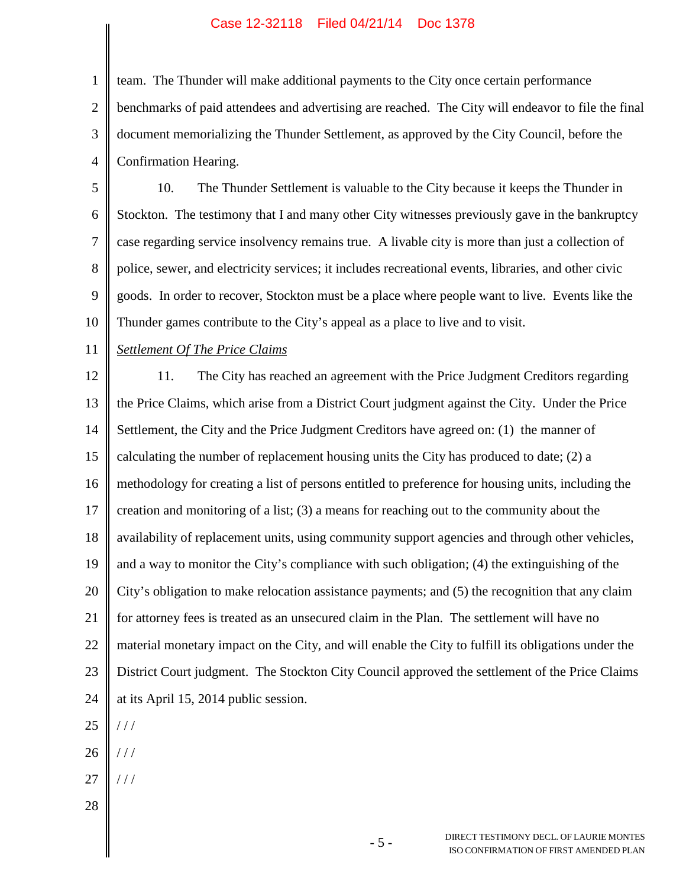1 2 3 4 team. The Thunder will make additional payments to the City once certain performance benchmarks of paid attendees and advertising are reached. The City will endeavor to file the final document memorializing the Thunder Settlement, as approved by the City Council, before the Confirmation Hearing.

5 6 7 8 9 10 10. The Thunder Settlement is valuable to the City because it keeps the Thunder in Stockton. The testimony that I and many other City witnesses previously gave in the bankruptcy case regarding service insolvency remains true. A livable city is more than just a collection of police, sewer, and electricity services; it includes recreational events, libraries, and other civic goods. In order to recover, Stockton must be a place where people want to live. Events like the Thunder games contribute to the City's appeal as a place to live and to visit.

11 *Settlement Of The Price Claims*

12 13 14 15 16 17 18 19 20 21 22 23 24 25 11. The City has reached an agreement with the Price Judgment Creditors regarding the Price Claims, which arise from a District Court judgment against the City. Under the Price Settlement, the City and the Price Judgment Creditors have agreed on: (1) the manner of calculating the number of replacement housing units the City has produced to date;  $(2)$  a methodology for creating a list of persons entitled to preference for housing units, including the creation and monitoring of a list; (3) a means for reaching out to the community about the availability of replacement units, using community support agencies and through other vehicles, and a way to monitor the City's compliance with such obligation; (4) the extinguishing of the City's obligation to make relocation assistance payments; and (5) the recognition that any claim for attorney fees is treated as an unsecured claim in the Plan. The settlement will have no material monetary impact on the City, and will enable the City to fulfill its obligations under the District Court judgment. The Stockton City Council approved the settlement of the Price Claims at its April 15, 2014 public session. / / /

- 26 / / /
- 27  $1/1$
- 28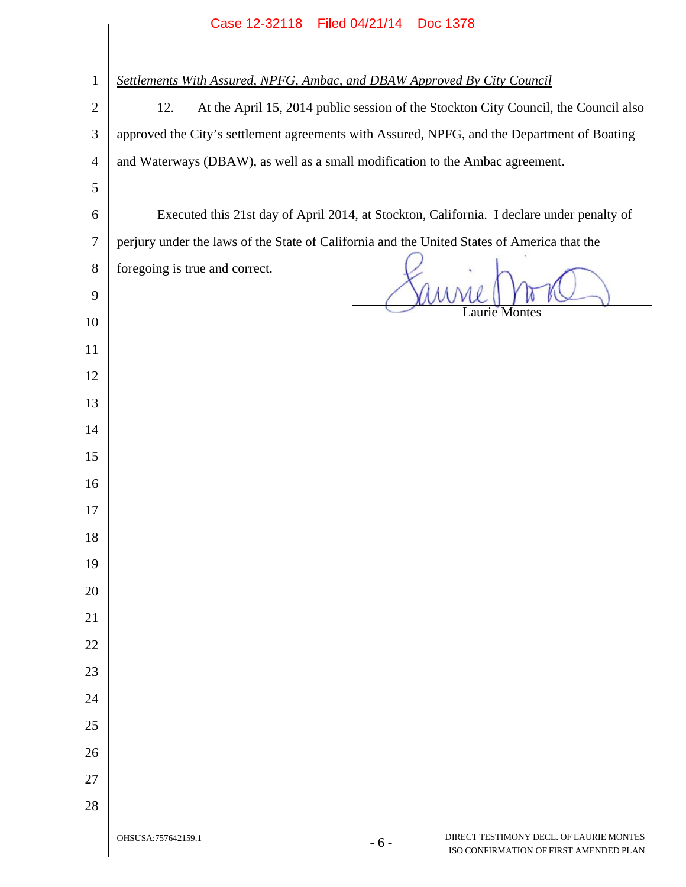|                | Case IZ-32110 Filed 04/21/14 DOC 1378                                                                            |  |  |  |  |  |
|----------------|------------------------------------------------------------------------------------------------------------------|--|--|--|--|--|
|                |                                                                                                                  |  |  |  |  |  |
| $\mathbf{1}$   | Settlements With Assured, NPFG, Ambac, and DBAW Approved By City Council                                         |  |  |  |  |  |
| $\mathbf{2}$   | At the April 15, 2014 public session of the Stockton City Council, the Council also<br>12.                       |  |  |  |  |  |
| 3              | approved the City's settlement agreements with Assured, NPFG, and the Department of Boating                      |  |  |  |  |  |
| $\overline{4}$ | and Waterways (DBAW), as well as a small modification to the Ambac agreement.                                    |  |  |  |  |  |
| 5              |                                                                                                                  |  |  |  |  |  |
| 6              | Executed this 21st day of April 2014, at Stockton, California. I declare under penalty of                        |  |  |  |  |  |
| $\tau$         | perjury under the laws of the State of California and the United States of America that the                      |  |  |  |  |  |
| $8\,$          | foregoing is true and correct.                                                                                   |  |  |  |  |  |
| 9              | aurie Montes                                                                                                     |  |  |  |  |  |
| 10             |                                                                                                                  |  |  |  |  |  |
| 11             |                                                                                                                  |  |  |  |  |  |
| 12             |                                                                                                                  |  |  |  |  |  |
| 13             |                                                                                                                  |  |  |  |  |  |
| 14             |                                                                                                                  |  |  |  |  |  |
| 15             |                                                                                                                  |  |  |  |  |  |
| 16             |                                                                                                                  |  |  |  |  |  |
| 17             |                                                                                                                  |  |  |  |  |  |
| 18             |                                                                                                                  |  |  |  |  |  |
| 19             |                                                                                                                  |  |  |  |  |  |
| 20             |                                                                                                                  |  |  |  |  |  |
| 21             |                                                                                                                  |  |  |  |  |  |
| 22             |                                                                                                                  |  |  |  |  |  |
| 23             |                                                                                                                  |  |  |  |  |  |
| 24             |                                                                                                                  |  |  |  |  |  |
| 25             |                                                                                                                  |  |  |  |  |  |
| 26             |                                                                                                                  |  |  |  |  |  |
| 27             |                                                                                                                  |  |  |  |  |  |
| 28             |                                                                                                                  |  |  |  |  |  |
|                | DIRECT TESTIMONY DECL. OF LAURIE MONTES<br>OHSUSA:757642159.1<br>$-6-$<br>ISO CONFIRMATION OF FIRST AMENDED PLAN |  |  |  |  |  |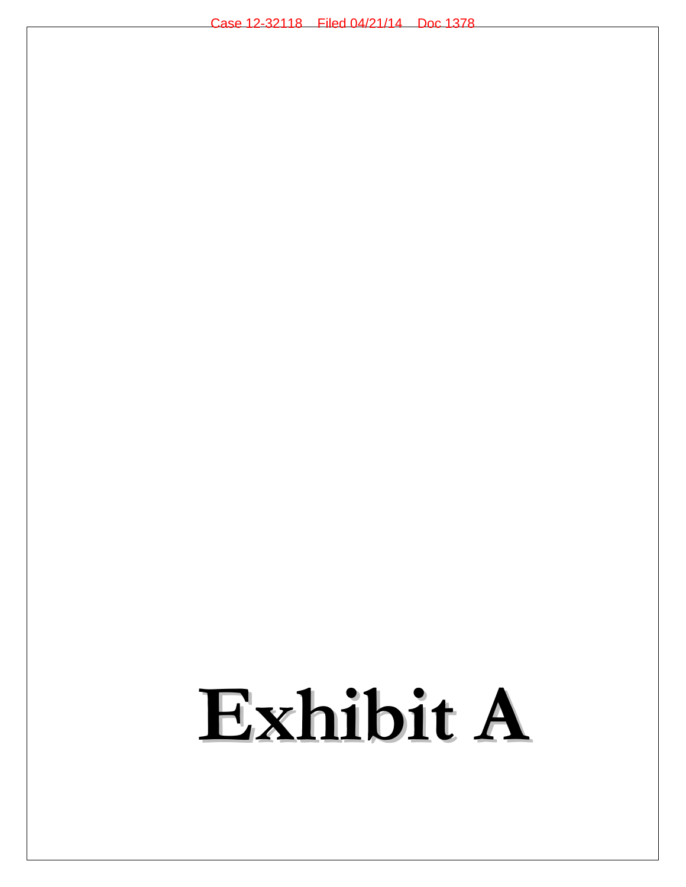# **Exhibit A**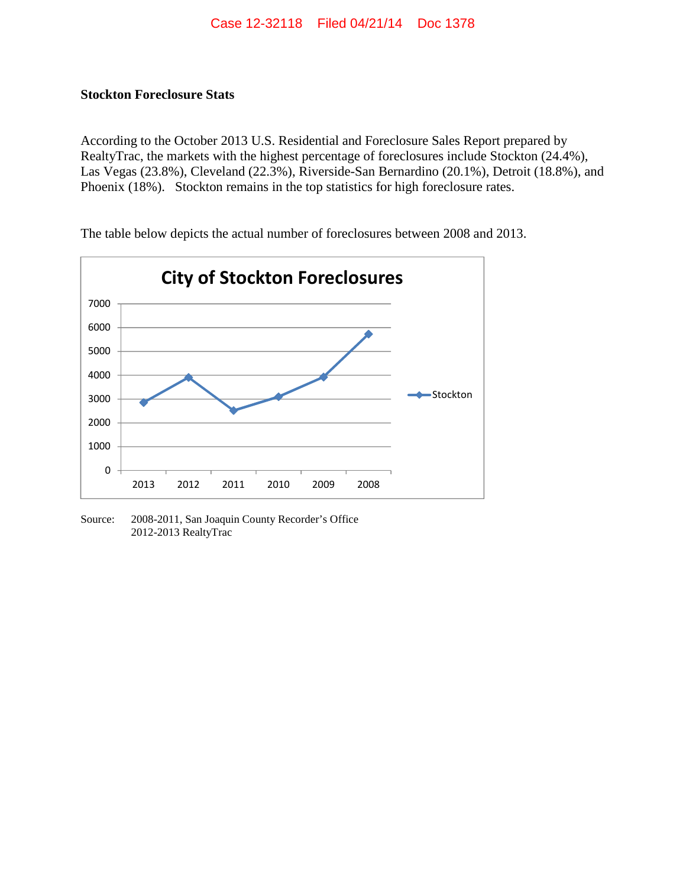### **Stockton Foreclosure Stats**

According to the October 2013 U.S. Residential and Foreclosure Sales Report prepared by RealtyTrac, the markets with the highest percentage of foreclosures include Stockton (24.4%), Las Vegas (23.8%), Cleveland (22.3%), Riverside-San Bernardino (20.1%), Detroit (18.8%), and Phoenix (18%). Stockton remains in the top statistics for high foreclosure rates.



The table below depicts the actual number of foreclosures between 2008 and 2013.

Source: 2008-2011, San Joaquin County Recorder's Office 2012-2013 RealtyTrac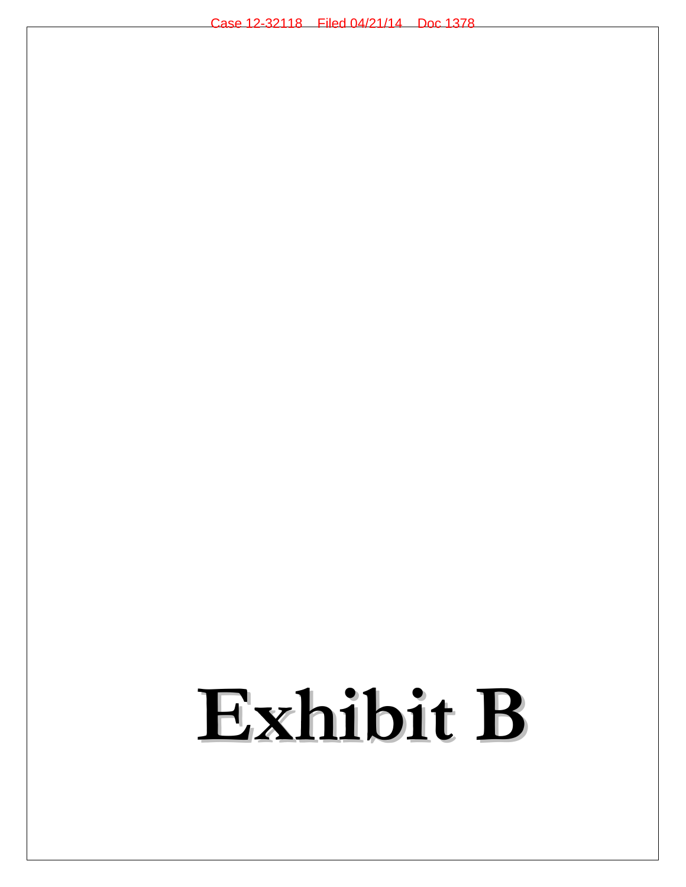# **Exhibit B**